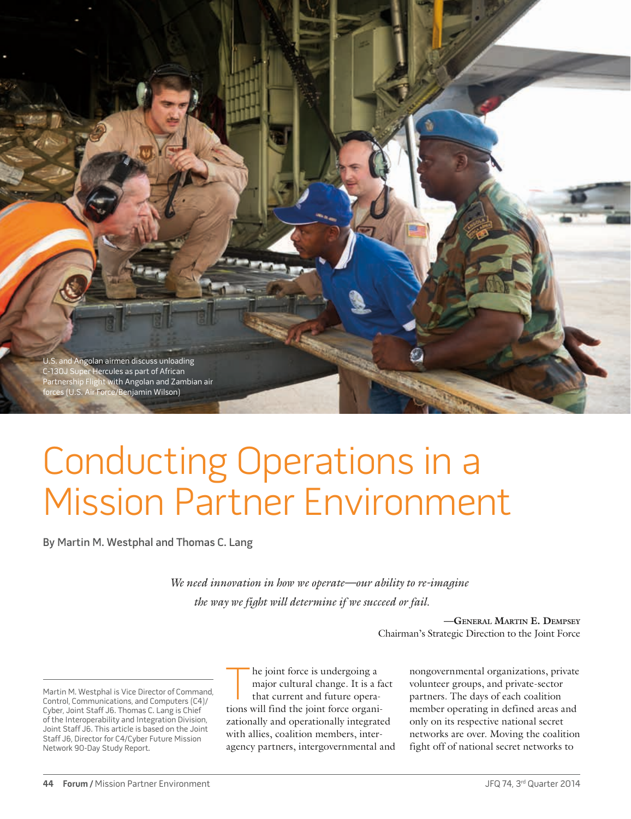U.S. and Angolan airmen discuss unloading C-130J Super Hercules as part of African Partnership Flight with Angolan and Zambian air forces (U.S. Air Force/Benjamin Wilson)

# Conducting Operations in a Mission Partner Environment

By Martin M. Westphal and Thomas C. Lang

*We need innovation in how we operate—our ability to re-imagine the way we fight will determine if we succeed or fail.*

> **—General Martin E. Dempsey** Chairman's Strategic Direction to the Joint Force

Martin M. Westphal is Vice Director of Command, Control, Communications, and Computers (C4)/ Cyber, Joint Staff J6. Thomas C. Lang is Chief of the Interoperability and Integration Division, Joint Staff J6. This article is based on the Joint Staff J6, Director for C4/Cyber Future Mission Network 90-Day Study Report.

he joint force is undergoing a major cultural change. It is a fact that current and future operations will find the joint force organizationally and operationally integrated with allies, coalition members, interagency partners, intergovernmental and nongovernmental organizations, private volunteer groups, and private-sector partners. The days of each coalition member operating in defined areas and only on its respective national secret networks are over. Moving the coalition fight off of national secret networks to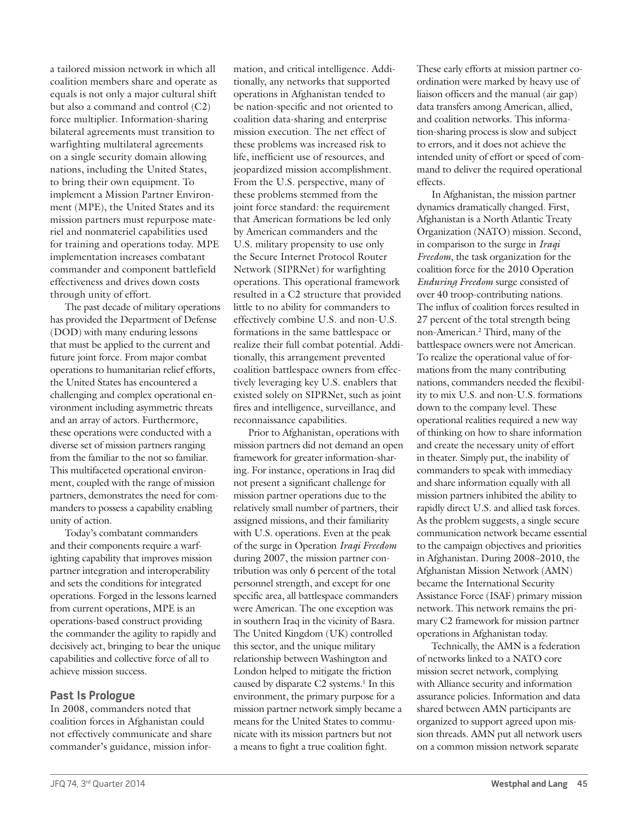a tailored mission network in which all coalition members share and operate as equals is not only a major cultural shift but also a command and control (C2) force multiplier. Information-sharing bilateral agreements must transition to warfighting multilateral agreements on a single security domain allowing nations, including the United States, to bring their own equipment. To implement a Mission Partner Environment (MPE), the United States and its mission partners must repurpose materiel and nonmateriel capabilities used for training and operations today. MPE implementation increases combatant commander and component battlefield effectiveness and drives down costs through unity of effort.

The past decade of military operations has provided the Department of Defense (DOD) with many enduring lessons that must be applied to the current and future joint force. From major combat operations to humanitarian relief efforts, the United States has encountered a challenging and complex operational environment including asymmetric threats and an array of actors. Furthermore, these operations were conducted with a diverse set of mission partners ranging from the familiar to the not so familiar. This multifaceted operational environment, coupled with the range of mission partners, demonstrates the need for commanders to possess a capability enabling unity of action.

Today's combatant commanders and their components require a warfighting capability that improves mission partner integration and interoperability and sets the conditions for integrated operations. Forged in the lessons learned from current operations, MPE is an operations-based construct providing the commander the agility to rapidly and decisively act, bringing to bear the unique capabilities and collective force of all to achieve mission success.

# **Past Is Prologue**

In 2008, commanders noted that coalition forces in Afghanistan could not effectively communicate and share commander's guidance, mission information, and critical intelligence. Additionally, any networks that supported operations in Afghanistan tended to be nation-specific and not oriented to coalition data-sharing and enterprise mission execution. The net effect of these problems was increased risk to life, inefficient use of resources, and jeopardized mission accomplishment. From the U.S. perspective, many of these problems stemmed from the joint force standard: the requirement that American formations be led only by American commanders and the U.S. military propensity to use only the Secure Internet Protocol Router Network (SIPRNet) for warfighting operations. This operational framework resulted in a C2 structure that provided little to no ability for commanders to effectively combine U.S. and non-U.S. formations in the same battlespace or realize their full combat potential. Additionally, this arrangement prevented coalition battlespace owners from effectively leveraging key U.S. enablers that existed solely on SIPRNet, such as joint fires and intelligence, surveillance, and reconnaissance capabilities.

Prior to Afghanistan, operations with mission partners did not demand an open framework for greater information-sharing. For instance, operations in Iraq did not present a significant challenge for mission partner operations due to the relatively small number of partners, their assigned missions, and their familiarity with U.S. operations. Even at the peak of the surge in Operation *Iraqi Freedom* during 2007, the mission partner contribution was only 6 percent of the total personnel strength, and except for one specific area, all battlespace commanders were American. The one exception was in southern Iraq in the vicinity of Basra. The United Kingdom (UK) controlled this sector, and the unique military relationship between Washington and London helped to mitigate the friction caused by disparate C2 systems.<sup>1</sup> In this environment, the primary purpose for a mission partner network simply became a means for the United States to communicate with its mission partners but not a means to fight a true coalition fight.

These early efforts at mission partner coordination were marked by heavy use of liaison officers and the manual (air gap) data transfers among American, allied, and coalition networks. This information-sharing process is slow and subject to errors, and it does not achieve the intended unity of effort or speed of command to deliver the required operational effects.

In Afghanistan, the mission partner dynamics dramatically changed. First, Afghanistan is a North Atlantic Treaty Organization (NATO) mission. Second, in comparison to the surge in *Iraqi Freedom*, the task organization for the coalition force for the 2010 Operation *Enduring Freedom* surge consisted of over 40 troop-contributing nations. The influx of coalition forces resulted in 27 percent of the total strength being non-American.2 Third, many of the battlespace owners were not American. To realize the operational value of formations from the many contributing nations, commanders needed the flexibility to mix U.S. and non-U.S. formations down to the company level. These operational realities required a new way of thinking on how to share information and create the necessary unity of effort in theater. Simply put, the inability of commanders to speak with immediacy and share information equally with all mission partners inhibited the ability to rapidly direct U.S. and allied task forces. As the problem suggests, a single secure communication network became essential to the campaign objectives and priorities in Afghanistan. During 2008–2010, the Afghanistan Mission Network (AMN) became the International Security Assistance Force (ISAF) primary mission network. This network remains the primary C2 framework for mission partner operations in Afghanistan today.

Technically, the AMN is a federation of networks linked to a NATO core mission secret network, complying with Alliance security and information assurance policies. Information and data shared between AMN participants are organized to support agreed upon mission threads. AMN put all network users on a common mission network separate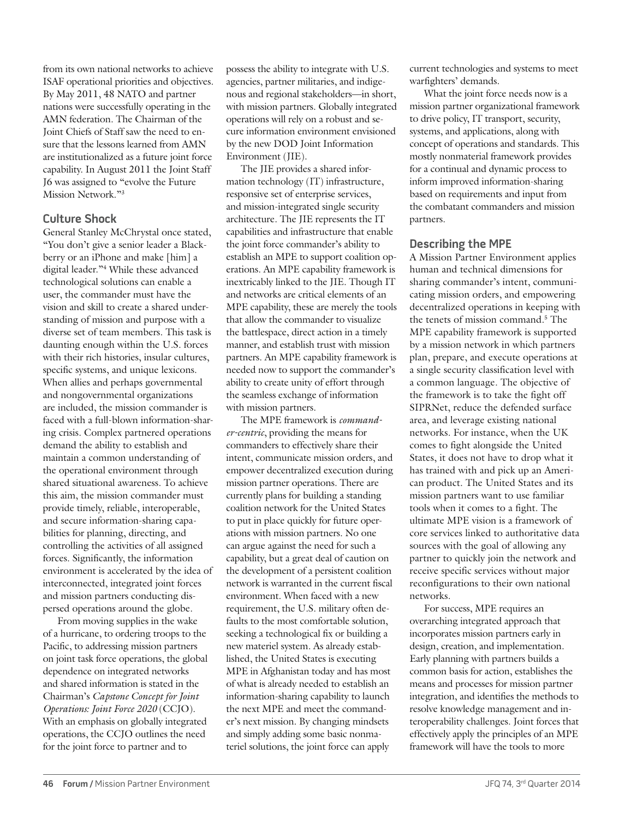from its own national networks to achieve ISAF operational priorities and objectives. By May 2011, 48 NATO and partner nations were successfully operating in the AMN federation. The Chairman of the Joint Chiefs of Staff saw the need to ensure that the lessons learned from AMN are institutionalized as a future joint force capability. In August 2011 the Joint Staff J6 was assigned to "evolve the Future Mission Network."3

# **Culture Shock**

General Stanley McChrystal once stated, "You don't give a senior leader a Blackberry or an iPhone and make [him] a digital leader."4 While these advanced technological solutions can enable a user, the commander must have the vision and skill to create a shared understanding of mission and purpose with a diverse set of team members. This task is daunting enough within the U.S. forces with their rich histories, insular cultures, specific systems, and unique lexicons. When allies and perhaps governmental and nongovernmental organizations are included, the mission commander is faced with a full-blown information-sharing crisis. Complex partnered operations demand the ability to establish and maintain a common understanding of the operational environment through shared situational awareness. To achieve this aim, the mission commander must provide timely, reliable, interoperable, and secure information-sharing capabilities for planning, directing, and controlling the activities of all assigned forces. Significantly, the information environment is accelerated by the idea of interconnected, integrated joint forces and mission partners conducting dispersed operations around the globe.

From moving supplies in the wake of a hurricane, to ordering troops to the Pacific, to addressing mission partners on joint task force operations, the global dependence on integrated networks and shared information is stated in the Chairman's *Capstone Concept for Joint Operations: Joint Force 2020* (CCJO). With an emphasis on globally integrated operations, the CCJO outlines the need for the joint force to partner and to

possess the ability to integrate with U.S. agencies, partner militaries, and indigenous and regional stakeholders—in short, with mission partners. Globally integrated operations will rely on a robust and secure information environment envisioned by the new DOD Joint Information Environment (JIE).

The JIE provides a shared information technology (IT) infrastructure, responsive set of enterprise services, and mission-integrated single security architecture. The JIE represents the IT capabilities and infrastructure that enable the joint force commander's ability to establish an MPE to support coalition operations. An MPE capability framework is inextricably linked to the JIE. Though IT and networks are critical elements of an MPE capability, these are merely the tools that allow the commander to visualize the battlespace, direct action in a timely manner, and establish trust with mission partners. An MPE capability framework is needed now to support the commander's ability to create unity of effort through the seamless exchange of information with mission partners.

The MPE framework is *commander-centric*, providing the means for commanders to effectively share their intent, communicate mission orders, and empower decentralized execution during mission partner operations. There are currently plans for building a standing coalition network for the United States to put in place quickly for future operations with mission partners. No one can argue against the need for such a capability, but a great deal of caution on the development of a persistent coalition network is warranted in the current fiscal environment. When faced with a new requirement, the U.S. military often defaults to the most comfortable solution, seeking a technological fix or building a new materiel system. As already established, the United States is executing MPE in Afghanistan today and has most of what is already needed to establish an information-sharing capability to launch the next MPE and meet the commander's next mission. By changing mindsets and simply adding some basic nonmateriel solutions, the joint force can apply

current technologies and systems to meet warfighters' demands.

What the joint force needs now is a mission partner organizational framework to drive policy, IT transport, security, systems, and applications, along with concept of operations and standards. This mostly nonmaterial framework provides for a continual and dynamic process to inform improved information-sharing based on requirements and input from the combatant commanders and mission partners.

# **Describing the MPE**

A Mission Partner Environment applies human and technical dimensions for sharing commander's intent, communicating mission orders, and empowering decentralized operations in keeping with the tenets of mission command.5 The MPE capability framework is supported by a mission network in which partners plan, prepare, and execute operations at a single security classification level with a common language. The objective of the framework is to take the fight off SIPRNet, reduce the defended surface area, and leverage existing national networks. For instance, when the UK comes to fight alongside the United States, it does not have to drop what it has trained with and pick up an American product. The United States and its mission partners want to use familiar tools when it comes to a fight. The ultimate MPE vision is a framework of core services linked to authoritative data sources with the goal of allowing any partner to quickly join the network and receive specific services without major reconfigurations to their own national networks.

For success, MPE requires an overarching integrated approach that incorporates mission partners early in design, creation, and implementation. Early planning with partners builds a common basis for action, establishes the means and processes for mission partner integration, and identifies the methods to resolve knowledge management and interoperability challenges. Joint forces that effectively apply the principles of an MPE framework will have the tools to more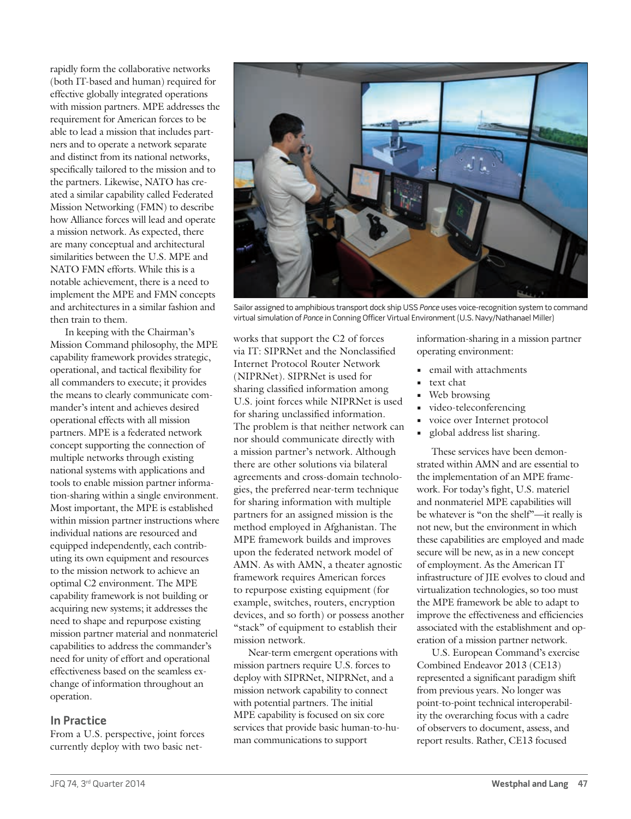rapidly form the collaborative networks (both IT-based and human) required for effective globally integrated operations with mission partners. MPE addresses the requirement for American forces to be able to lead a mission that includes partners and to operate a network separate and distinct from its national networks, specifically tailored to the mission and to the partners. Likewise, NATO has created a similar capability called Federated Mission Networking (FMN) to describe how Alliance forces will lead and operate a mission network. As expected, there are many conceptual and architectural similarities between the U.S. MPE and NATO FMN efforts. While this is a notable achievement, there is a need to implement the MPE and FMN concepts and architectures in a similar fashion and then train to them.

In keeping with the Chairman's Mission Command philosophy, the MPE capability framework provides strategic, operational, and tactical flexibility for all commanders to execute; it provides the means to clearly communicate commander's intent and achieves desired operational effects with all mission partners. MPE is a federated network concept supporting the connection of multiple networks through existing national systems with applications and tools to enable mission partner information-sharing within a single environment. Most important, the MPE is established within mission partner instructions where individual nations are resourced and equipped independently, each contributing its own equipment and resources to the mission network to achieve an optimal C2 environment. The MPE capability framework is not building or acquiring new systems; it addresses the need to shape and repurpose existing mission partner material and nonmateriel capabilities to address the commander's need for unity of effort and operational effectiveness based on the seamless exchange of information throughout an operation.

#### **In Practice**

From a U.S. perspective, joint forces currently deploy with two basic net-



Sailor assigned to amphibious transport dock ship USS Ponce uses voice-recognition system to command virtual simulation of Ponce in Conning Officer Virtual Environment (U.S. Navy/Nathanael Miller)

works that support the C2 of forces via IT: SIPRNet and the Nonclassified Internet Protocol Router Network (NIPRNet). SIPRNet is used for sharing classified information among U.S. joint forces while NIPRNet is used for sharing unclassified information. The problem is that neither network can nor should communicate directly with a mission partner's network. Although there are other solutions via bilateral agreements and cross-domain technologies, the preferred near-term technique for sharing information with multiple partners for an assigned mission is the method employed in Afghanistan. The MPE framework builds and improves upon the federated network model of AMN. As with AMN, a theater agnostic framework requires American forces to repurpose existing equipment (for example, switches, routers, encryption devices, and so forth) or possess another "stack" of equipment to establish their mission network.

Near-term emergent operations with mission partners require U.S. forces to deploy with SIPRNet, NIPRNet, and a mission network capability to connect with potential partners. The initial MPE capability is focused on six core services that provide basic human-to-human communications to support

information-sharing in a mission partner operating environment:

- **•** email with attachments
- **•** text chat
- Web browsing<br>• video-teleconfe
- **•** video-teleconferencing
- **•** voice over Internet protocol
- **•** global address list sharing.

These services have been demonstrated within AMN and are essential to the implementation of an MPE framework. For today's fight, U.S. materiel and nonmateriel MPE capabilities will be whatever is "on the shelf"—it really is not new, but the environment in which these capabilities are employed and made secure will be new, as in a new concept of employment. As the American IT infrastructure of JIE evolves to cloud and virtualization technologies, so too must the MPE framework be able to adapt to improve the effectiveness and efficiencies associated with the establishment and operation of a mission partner network.

U.S. European Command's exercise Combined Endeavor 2013 (CE13) represented a significant paradigm shift from previous years. No longer was point-to-point technical interoperability the overarching focus with a cadre of observers to document, assess, and report results. Rather, CE13 focused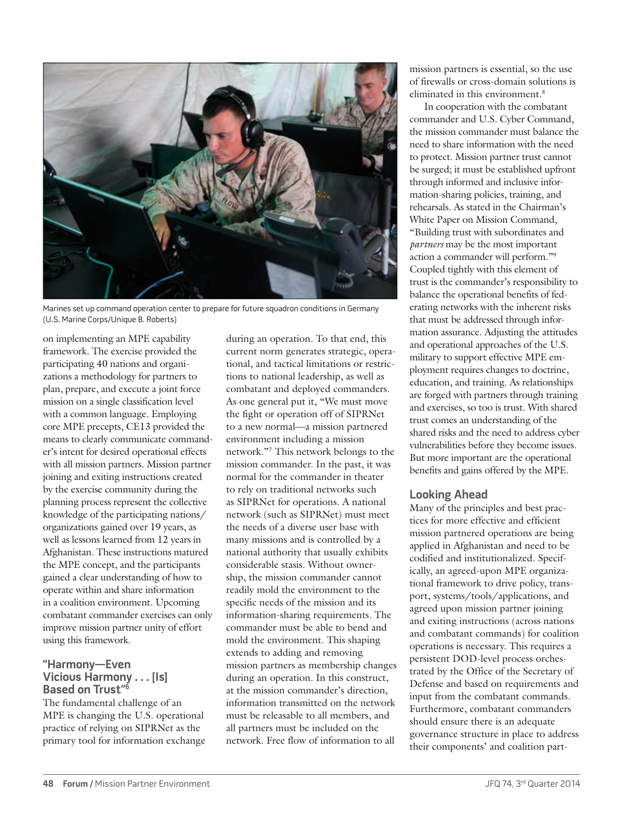

Marines set up command operation center to prepare for future squadron conditions in Germany (U.S. Marine Corps/Unique B. Roberts)

on implementing an MPE capability framework. The exercise provided the participating 40 nations and organizations a methodology for partners to plan, prepare, and execute a joint force mission on a single classification level with a common language. Employing core MPE precepts, CE13 provided the means to clearly communicate commander's intent for desired operational effects with all mission partners. Mission partner joining and exiting instructions created by the exercise community during the planning process represent the collective knowledge of the participating nations/ organizations gained over 19 years, as well as lessons learned from 12 years in Afghanistan. These instructions matured the MPE concept, and the participants gained a clear understanding of how to operate within and share information in a coalition environment. Upcoming combatant commander exercises can only improve mission partner unity of effort using this framework.

#### **"Harmony—Even Vicious Harmony . . . [Is] Based on Trust"6**

The fundamental challenge of an MPE is changing the U.S. operational practice of relying on SIPRNet as the primary tool for information exchange

during an operation. To that end, this current norm generates strategic, operational, and tactical limitations or restrictions to national leadership, as well as combatant and deployed commanders. As one general put it, "We must move the fight or operation off of SIPRNet to a new normal—a mission partnered environment including a mission network."7 This network belongs to the mission commander. In the past, it was normal for the commander in theater to rely on traditional networks such as SIPRNet for operations. A national network (such as SIPRNet) must meet the needs of a diverse user base with many missions and is controlled by a national authority that usually exhibits considerable stasis. Without ownership, the mission commander cannot readily mold the environment to the specific needs of the mission and its information-sharing requirements. The commander must be able to bend and mold the environment. This shaping extends to adding and removing mission partners as membership changes during an operation. In this construct, at the mission commander's direction, information transmitted on the network must be releasable to all members, and all partners must be included on the network. Free flow of information to all

mission partners is essential, so the use of firewalls or cross-domain solutions is eliminated in this environment.8

In cooperation with the combatant commander and U.S. Cyber Command, the mission commander must balance the need to share information with the need to protect. Mission partner trust cannot be surged; it must be established upfront through informed and inclusive information-sharing policies, training, and rehearsals. As stated in the Chairman's White Paper on Mission Command, "Building trust with subordinates and *partners* may be the most important action a commander will perform."9 Coupled tightly with this element of trust is the commander's responsibility to balance the operational benefits of federating networks with the inherent risks that must be addressed through information assurance. Adjusting the attitudes and operational approaches of the U.S. military to support effective MPE employment requires changes to doctrine, education, and training. As relationships are forged with partners through training and exercises, so too is trust. With shared trust comes an understanding of the shared risks and the need to address cyber vulnerabilities before they become issues. But more important are the operational benefits and gains offered by the MPE.

# **Looking Ahead**

Many of the principles and best practices for more effective and efficient mission partnered operations are being applied in Afghanistan and need to be codified and institutionalized. Specifically, an agreed-upon MPE organizational framework to drive policy, transport, systems/tools/applications, and agreed upon mission partner joining and exiting instructions (across nations and combatant commands) for coalition operations is necessary. This requires a persistent DOD-level process orchestrated by the Office of the Secretary of Defense and based on requirements and input from the combatant commands. Furthermore, combatant commanders should ensure there is an adequate governance structure in place to address their components' and coalition part-